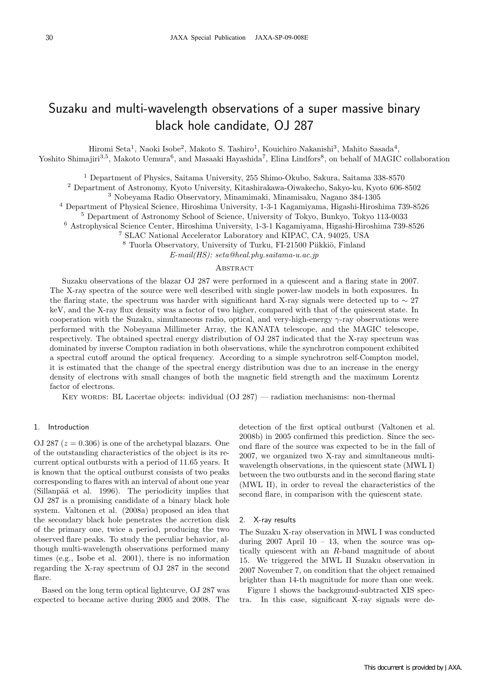# Suzaku and multi-wavelength observations of a super massive binary black hole candidate, OJ 287

Hiromi Seta<sup>1</sup>, Naoki Isobe<sup>2</sup>, Makoto S. Tashiro<sup>1</sup>, Kouichiro Nakanishi<sup>3</sup>, Mahito Sasada<sup>4</sup>,

Yoshito Shimajiri<sup>3,5</sup>, Makoto Uemura<sup>6</sup>, and Masaaki Hayashida<sup>7</sup>, Elina Lindfors<sup>8</sup>, on behalf of MAGIC collaboration

<sup>1</sup> Department of Physics, Saitama University, 255 Shimo-Okubo, Sakura, Saitama 338-8570

<sup>2</sup> Department of Astronomy, Kyoto University, Kitashirakawa-Oiwakecho, Sakyo-ku, Kyoto 606-8502

<sup>3</sup> Nobeyama Radio Observatory, Minamimaki, Minamisaku, Nagano 384-1305

<sup>4</sup> Department of Physical Science, Hiroshima University, 1-3-1 Kagamiyama, Higashi-Hiroshima 739-8526

<sup>5</sup> Department of Astronomy School of Science, University of Tokyo, Bunkyo, Tokyo 113-0033

<sup>6</sup> Astrophysical Science Center, Hiroshima University, 1-3-1 Kagamiyama, Higashi-Hiroshima 739-8526

<sup>7</sup> SLAC National Accelerator Laboratory and KIPAC, CA, 94025, USA

<sup>8</sup> Tuorla Observatory, University of Turku, FI-21500 Piikkiö, Finland

E-mail(HS): seta@heal.phy.saitama-u.ac.jp

## **ABSTRACT**

Suzaku observations of the blazar OJ 287 were performed in a quiescent and a flaring state in 2007. The X-ray spectra of the source were well described with single power-law models in both exposures. In the flaring state, the spectrum was harder with significant hard X-ray signals were detected up to  $\sim$  27 keV, and the X-ray flux density was a factor of two higher, compared with that of the quiescent state. In cooperation with the Suzaku, simultaneous radio, optical, and very-high-energy  $\gamma$ -ray observations were performed with the Nobeyama Millimeter Array, the KANATA telescope, and the MAGIC telescope, respectively. The obtained spectral energy distribution of OJ 287 indicated that the X-ray spectrum was dominated by inverse Compton radiation in both observations, while the synchrotron component exhibited a spectral cutoff around the optical frequency. According to a simple synchrotron self-Compton model, it is estimated that the change of the spectral energy distribution was due to an increase in the energy density of electrons with small changes of both the magnetic field strength and the maximum Lorentz factor of electrons.

Key words: BL Lacertae objects: individual (OJ 287) — radiation mechanisms: non-thermal

## 1. Introduction

OJ 287  $(z = 0.306)$  is one of the archetypal blazars. One of the outstanding characteristics of the object is its recurrent optical outbursts with a period of 11.65 years. It is known that the optical outburst consists of two peaks corresponding to flares with an interval of about one year (Sillanpää et al. 1996). The periodicity implies that OJ 287 is a promising candidate of a binary black hole system. Valtonen et al. (2008a) proposed an idea that the secondary black hole penetrates the accretion disk of the primary one, twice a period, producing the two observed flare peaks. To study the peculiar behavior, although multi-wavelength observations performed many times (e.g., Isobe et al. 2001), there is no information regarding the X-ray spectrum of OJ 287 in the second flare.

Based on the long term optical lightcurve, OJ 287 was expected to became active during 2005 and 2008. The

detection of the first optical outburst (Valtonen et al. 2008b) in 2005 confirmed this prediction. Since the second flare of the source was expected to be in the fall of 2007, we organized two X-ray and simultaneous multiwavelength observations, in the quiescent state (MWL I) between the two outbursts and in the second flaring state (MWL II), in order to reveal the characteristics of the second flare, in comparison with the quiescent state.

### 2. X-ray results

The Suzaku X-ray observation in MWL I was conducted during  $2007$  April  $10 - 13$ , when the source was optically quiescent with an R-band magnitude of about 15. We triggered the MWL II Suzaku observation in 2007 November 7, on condition that the object remained brighter than 14-th magnitude for more than one week.

Figure 1 shows the background-subtracted XIS spectra. In this case, significant X-ray signals were de-